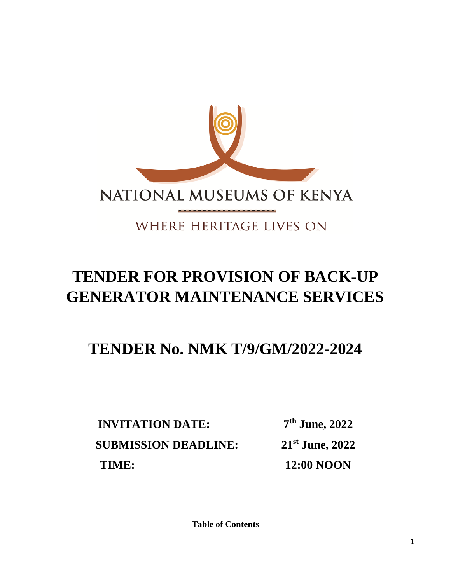

# WHERE HERITAGE LIVES ON

# **TENDER FOR PROVISION OF BACK-UP GENERATOR MAINTENANCE SERVICES**

# **TENDER No. NMK T/9/GM/2022-2024**

**INVITATION DATE: 7 th June, 2022 SUBMISSION DEADLINE: st June, 2022 TIME:** 12:00 NOON

**Table of Contents**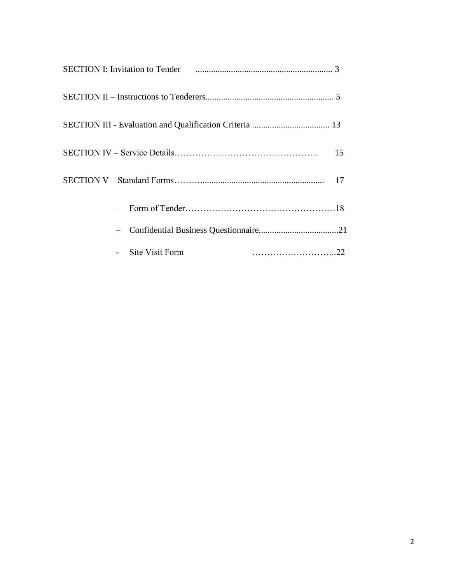|                 | 15 |
|-----------------|----|
|                 | 17 |
|                 |    |
|                 |    |
| Site Visit Form |    |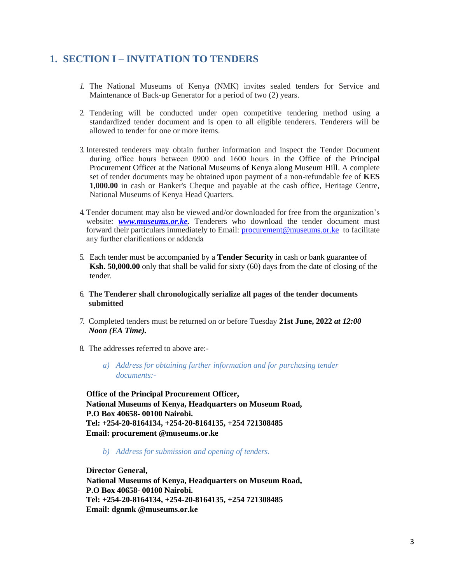# **1. SECTION I – INVITATION TO TENDERS**

- *1.* The National Museums of Kenya (NMK) invites sealed tenders for Service and Maintenance of Back-up Generator for a period of two (2) years.
- 2. Tendering will be conducted under open competitive tendering method using a standardized tender document and is open to all eligible tenderers. Tenderers will be allowed to tender for one or more items.
- 3. Interested tenderers may obtain further information and inspect the Tender Document during office hours between 0900 and 1600 hours in the Office of the Principal Procurement Officer at the National Museums of Kenya along Museum Hill. A complete set of tender documents may be obtained upon payment of a non-refundable fee of **KES 1,000.00** in cash or Banker's Cheque and payable at the cash office, Heritage Centre, National Museums of Kenya Head Quarters.
- 4. Tender document may also be viewed and/or downloaded for free from the organization's website: **[www.museums.or.ke.](http://www.museums.or.ke/)** Tenderers who download the tender document must forward their particulars immediately to Email: [procurement@museums.or.ke](mailto:procurement@museums.or.ke) to facilitate any further clarifications or addenda
- 5. Each tender must be accompanied by a **Tender Security** in cash or bank guarantee of **Ksh. 50,000.00** only that shall be valid for sixty (60) days from the date of closing of the tender.
- 6. **The Tenderer shall chronologically serialize all pages of the tender documents submitted**
- 7. Completed tenders must be returned on or before Tuesday **21st June, 2022** *at 12:00 Noon (EA Time).*
- 8. The addresses referred to above are:
	- *a) Address for obtaining further information and for purchasing tender documents:-*

**Office of the Principal Procurement Officer, National Museums of Kenya, Headquarters on Museum Road, P.O Box 40658- 00100 Nairobi. Tel: +254-20-8164134, +254-20-8164135, +254 721308485 Email: procurement @museums.or.ke**

*b) Address for submission and opening of tenders.*

**Director General, National Museums of Kenya, Headquarters on Museum Road, P.O Box 40658- 00100 Nairobi. Tel: +254-20-8164134, +254-20-8164135, +254 721308485 Email: dgnmk @museums.or.ke**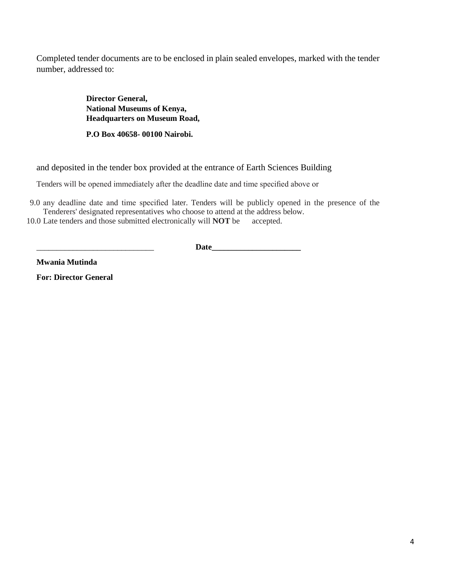Completed tender documents are to be enclosed in plain sealed envelopes, marked with the tender number, addressed to:

> **Director General, National Museums of Kenya, Headquarters on Museum Road,**

**P.O Box 40658- 00100 Nairobi.**

and deposited in the tender box provided at the entrance of Earth Sciences Building

Tenders will be opened immediately after the deadline date and time specified above or

9.0 any deadline date and time specified later. Tenders will be publicly opened in the presence of the Tenderers' designated representatives who choose to attend at the address below.

10.0 Late tenders and those submitted electronically will **NOT** be accepted.

\_\_\_\_\_\_\_\_\_\_\_\_\_\_\_\_\_\_\_\_\_\_\_\_\_\_\_\_\_ **Date\_\_\_\_\_\_\_\_\_\_\_\_\_\_\_\_\_\_\_\_\_\_**

**Mwania Mutinda**

**For: Director General**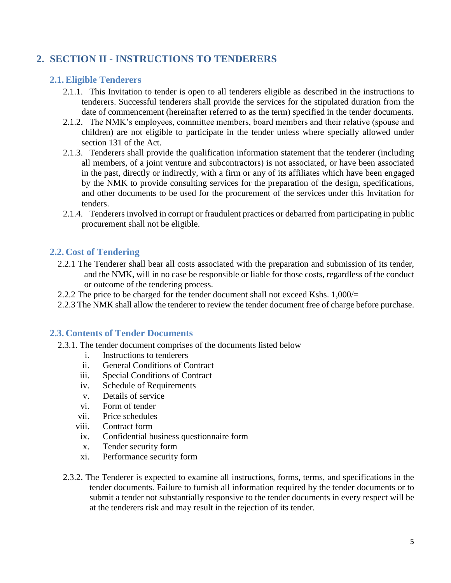# **2. SECTION II - INSTRUCTIONS TO TENDERERS**

## **2.1.Eligible Tenderers**

- 2.1.1. This Invitation to tender is open to all tenderers eligible as described in the instructions to tenderers. Successful tenderers shall provide the services for the stipulated duration from the date of commencement (hereinafter referred to as the term) specified in the tender documents.
- 2.1.2. The NMK's employees, committee members, board members and their relative (spouse and children) are not eligible to participate in the tender unless where specially allowed under section 131 of the Act.
- 2.1.3. Tenderers shall provide the qualification information statement that the tenderer (including all members, of a joint venture and subcontractors) is not associated, or have been associated in the past, directly or indirectly, with a firm or any of its affiliates which have been engaged by the NMK to provide consulting services for the preparation of the design, specifications, and other documents to be used for the procurement of the services under this Invitation for tenders.
- 2.1.4. Tenderers involved in corrupt or fraudulent practices or debarred from participating in public procurement shall not be eligible.

## **2.2. Cost of Tendering**

- 2.2.1 The Tenderer shall bear all costs associated with the preparation and submission of its tender, and the NMK, will in no case be responsible or liable for those costs, regardless of the conduct or outcome of the tendering process.
- 2.2.2 The price to be charged for the tender document shall not exceed Kshs. 1,000/=
- 2.2.3 The NMK shall allow the tenderer to review the tender document free of charge before purchase.

#### **2.3. Contents of Tender Documents**

- 2.3.1. The tender document comprises of the documents listed below
	- i. Instructions to tenderers
	- ii. General Conditions of Contract
	- iii. Special Conditions of Contract
	- iv. Schedule of Requirements
	- v. Details of service
	- vi. Form of tender
	- vii. Price schedules
	- viii. Contract form
	- ix. Confidential business questionnaire form
	- x. Tender security form
	- xi. Performance security form
	- 2.3.2. The Tenderer is expected to examine all instructions, forms, terms, and specifications in the tender documents. Failure to furnish all information required by the tender documents or to submit a tender not substantially responsive to the tender documents in every respect will be at the tenderers risk and may result in the rejection of its tender.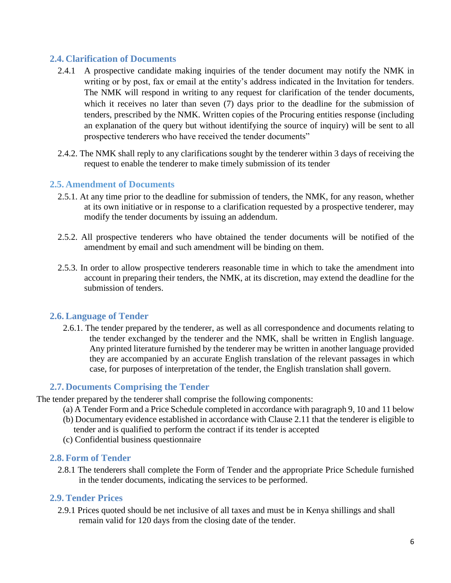# **2.4. Clarification of Documents**

- 2.4.1 A prospective candidate making inquiries of the tender document may notify the NMK in writing or by post, fax or email at the entity's address indicated in the Invitation for tenders. The NMK will respond in writing to any request for clarification of the tender documents, which it receives no later than seven (7) days prior to the deadline for the submission of tenders, prescribed by the NMK. Written copies of the Procuring entities response (including an explanation of the query but without identifying the source of inquiry) will be sent to all prospective tenderers who have received the tender documents"
- 2.4.2. The NMK shall reply to any clarifications sought by the tenderer within 3 days of receiving the request to enable the tenderer to make timely submission of its tender

# **2.5. Amendment of Documents**

- 2.5.1. At any time prior to the deadline for submission of tenders, the NMK, for any reason, whether at its own initiative or in response to a clarification requested by a prospective tenderer, may modify the tender documents by issuing an addendum.
- 2.5.2. All prospective tenderers who have obtained the tender documents will be notified of the amendment by email and such amendment will be binding on them.
- 2.5.3. In order to allow prospective tenderers reasonable time in which to take the amendment into account in preparing their tenders, the NMK, at its discretion, may extend the deadline for the submission of tenders.

# **2.6.Language of Tender**

2.6.1. The tender prepared by the tenderer, as well as all correspondence and documents relating to the tender exchanged by the tenderer and the NMK, shall be written in English language. Any printed literature furnished by the tenderer may be written in another language provided they are accompanied by an accurate English translation of the relevant passages in which case, for purposes of interpretation of the tender, the English translation shall govern.

# **2.7. Documents Comprising the Tender**

The tender prepared by the tenderer shall comprise the following components:

- (a) A Tender Form and a Price Schedule completed in accordance with paragraph 9, 10 and 11 below
- (b) Documentary evidence established in accordance with Clause 2.11 that the tenderer is eligible to tender and is qualified to perform the contract if its tender is accepted
- (c) Confidential business questionnaire

# **2.8. Form of Tender**

2.8.1 The tenderers shall complete the Form of Tender and the appropriate Price Schedule furnished in the tender documents, indicating the services to be performed.

# **2.9.Tender Prices**

2.9.1 Prices quoted should be net inclusive of all taxes and must be in Kenya shillings and shall remain valid for 120 days from the closing date of the tender.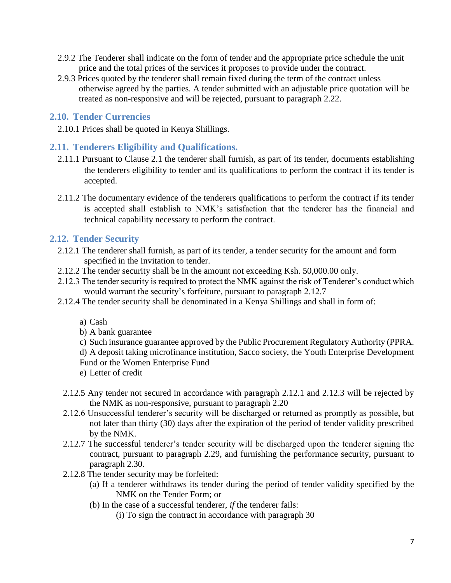- 2.9.2 The Tenderer shall indicate on the form of tender and the appropriate price schedule the unit price and the total prices of the services it proposes to provide under the contract.
- 2.9.3 Prices quoted by the tenderer shall remain fixed during the term of the contract unless otherwise agreed by the parties. A tender submitted with an adjustable price quotation will be treated as non-responsive and will be rejected, pursuant to paragraph 2.22.

## **2.10. Tender Currencies**

2.10.1 Prices shall be quoted in Kenya Shillings.

## **2.11. Tenderers Eligibility and Qualifications.**

- 2.11.1 Pursuant to Clause 2.1 the tenderer shall furnish, as part of its tender, documents establishing the tenderers eligibility to tender and its qualifications to perform the contract if its tender is accepted.
- 2.11.2 The documentary evidence of the tenderers qualifications to perform the contract if its tender is accepted shall establish to NMK's satisfaction that the tenderer has the financial and technical capability necessary to perform the contract.

## **2.12. Tender Security**

- 2.12.1 The tenderer shall furnish, as part of its tender, a tender security for the amount and form specified in the Invitation to tender.
- 2.12.2 The tender security shall be in the amount not exceeding Ksh. 50,000.00 only.
- 2.12.3 The tender security is required to protect the NMK against the risk of Tenderer's conduct which would warrant the security's forfeiture, pursuant to paragraph 2.12.7
- 2.12.4 The tender security shall be denominated in a Kenya Shillings and shall in form of:
	- a) Cash
	- b) A bank guarantee
	- c) Such insurance guarantee approved by the Public Procurement Regulatory Authority (PPRA.

d) A deposit taking microfinance institution, Sacco society, the Youth Enterprise Development

- Fund or the Women Enterprise Fund
- e) Letter of credit
- 2.12.5 Any tender not secured in accordance with paragraph 2.12.1 and 2.12.3 will be rejected by the NMK as non-responsive, pursuant to paragraph 2.20
- 2.12.6 Unsuccessful tenderer's security will be discharged or returned as promptly as possible, but not later than thirty (30) days after the expiration of the period of tender validity prescribed by the NMK.
- 2.12.7 The successful tenderer's tender security will be discharged upon the tenderer signing the contract, pursuant to paragraph 2.29, and furnishing the performance security, pursuant to paragraph 2.30.
- 2.12.8 The tender security may be forfeited:
	- (a) If a tenderer withdraws its tender during the period of tender validity specified by the NMK on the Tender Form; or
	- (b) In the case of a successful tenderer, *if* the tenderer fails:
		- (i) To sign the contract in accordance with paragraph 30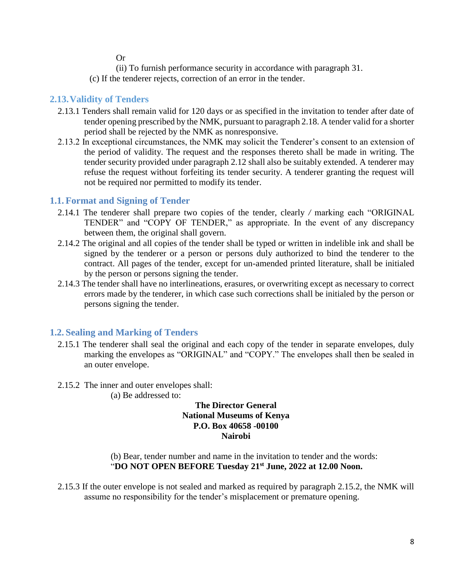Or

(ii) To furnish performance security in accordance with paragraph 31.

(c) If the tenderer rejects, correction of an error in the tender.

# **2.13.Validity of Tenders**

- 2.13.1 Tenders shall remain valid for 120 days or as specified in the invitation to tender after date of tender opening prescribed by the NMK, pursuant to paragraph 2.18. A tender valid for a shorter period shall be rejected by the NMK as nonresponsive.
- 2.13.2 In exceptional circumstances, the NMK may solicit the Tenderer's consent to an extension of the period of validity. The request and the responses thereto shall be made in writing. The tender security provided under paragraph 2.12 shall also be suitably extended. A tenderer may refuse the request without forfeiting its tender security. A tenderer granting the request will not be required nor permitted to modify its tender.

# **1.1. Format and Signing of Tender**

- 2.14.1 The tenderer shall prepare two copies of the tender, clearly */* marking each "ORIGINAL TENDER" and "COPY OF TENDER," as appropriate. In the event of any discrepancy between them, the original shall govern.
- 2.14.2 The original and all copies of the tender shall be typed or written in indelible ink and shall be signed by the tenderer or a person or persons duly authorized to bind the tenderer to the contract. All pages of the tender, except for un-amended printed literature, shall be initialed by the person or persons signing the tender.
- 2.14.3 The tender shall have no interlineations, erasures, or overwriting except as necessary to correct errors made by the tenderer, in which case such corrections shall be initialed by the person or persons signing the tender.

# **1.2. Sealing and Marking of Tenders**

- 2.15.1 The tenderer shall seal the original and each copy of the tender in separate envelopes, duly marking the envelopes as "ORIGINAL" and "COPY." The envelopes shall then be sealed in an outer envelope.
- 2.15.2 The inner and outer envelopes shall:
	- (a) Be addressed to:

#### **The Director General National Museums of Kenya P.O. Box 40658 -00100 Nairobi**

(b) Bear, tender number and name in the invitation to tender and the words: "**DO NOT OPEN BEFORE Tuesday 21st June, 2022 at 12.00 Noon.**

2.15.3 If the outer envelope is not sealed and marked as required by paragraph 2.15.2, the NMK will assume no responsibility for the tender's misplacement or premature opening.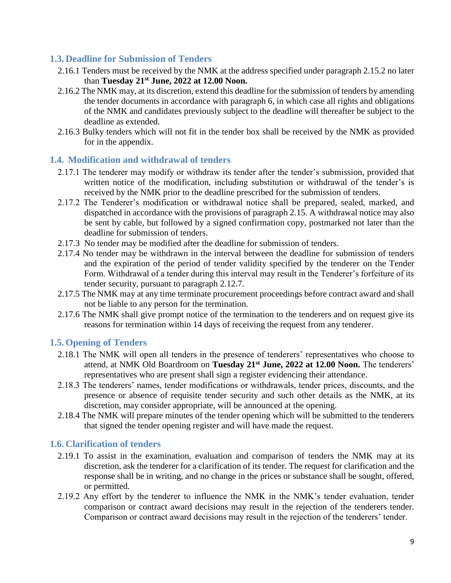# **1.3. Deadline for Submission of Tenders**

- 2.16.1 Tenders must be received by the NMK at the address specified under paragraph 2.15.2 no later than **Tuesday 21st June, 2022 at 12.00 Noon.**
- 2.16.2 The NMK may, at its discretion, extend this deadline for the submission of tenders by amending the tender documents in accordance with paragraph 6, in which case all rights and obligations of the NMK and candidates previously subject to the deadline will thereafter be subject to the deadline as extended.
- 2.16.3 Bulky tenders which will not fit in the tender box shall be received by the NMK as provided for in the appendix.

## **1.4. Modification and withdrawal of tenders**

- 2.17.1 The tenderer may modify or withdraw its tender after the tender's submission, provided that written notice of the modification, including substitution or withdrawal of the tender's is received by the NMK prior to the deadline prescribed for the submission of tenders.
- 2.17.2 The Tenderer's modification or withdrawal notice shall be prepared, sealed, marked, and dispatched in accordance with the provisions of paragraph 2.15. A withdrawal notice may also be sent by cable, but followed by a signed confirmation copy, postmarked not later than the deadline for submission of tenders.
- 2.17.3 No tender may be modified after the deadline for submission of tenders.
- 2.17.4 No tender may be withdrawn in the interval between the deadline for submission of tenders and the expiration of the period of tender validity specified by the tenderer on the Tender Form. Withdrawal of a tender during this interval may result in the Tenderer's forfeiture of its tender security, pursuant to paragraph 2.12.7.
- 2.17.5 The NMK may at any time terminate procurement proceedings before contract award and shall not be liable to any person for the termination.
- 2.17.6 The NMK shall give prompt notice of the termination to the tenderers and on request give its reasons for termination within 14 days of receiving the request from any tenderer.

# **1.5. Opening of Tenders**

- 2.18.1 The NMK will open all tenders in the presence of tenderers' representatives who choose to attend, at NMK Old Boardroom on **Tuesday 21st June, 2022 at 12.00 Noon.** The tenderers' representatives who are present shall sign a register evidencing their attendance.
- 2.18.3 The tenderers' names, tender modifications or withdrawals, tender prices, discounts, and the presence or absence of requisite tender security and such other details as the NMK, at its discretion, may consider appropriate, will be announced at the opening.
- 2.18.4 The NMK will prepare minutes of the tender opening which will be submitted to the tenderers that signed the tender opening register and will have made the request.

# **1.6. Clarification of tenders**

- 2.19.1 To assist in the examination, evaluation and comparison of tenders the NMK may at its discretion, ask the tenderer for a clarification of its tender. The request for clarification and the response shall be in writing, and no change in the prices or substance shall be sought, offered, or permitted.
- 2.19.2 Any effort by the tenderer to influence the NMK in the NMK's tender evaluation, tender comparison or contract award decisions may result in the rejection of the tenderers tender. Comparison or contract award decisions may result in the rejection of the tenderers' tender.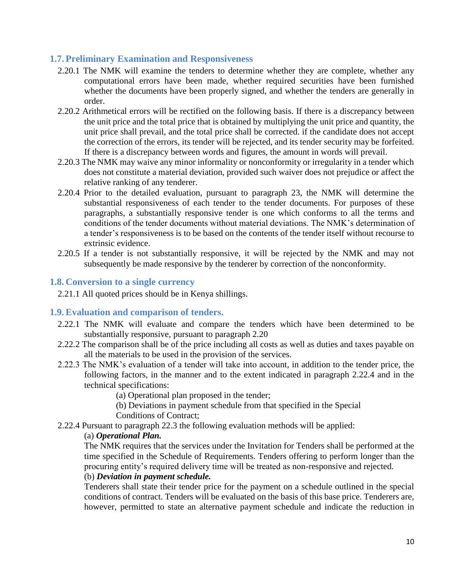# **1.7. Preliminary Examination and Responsiveness**

- 2.20.1 The NMK will examine the tenders to determine whether they are complete, whether any computational errors have been made, whether required securities have been furnished whether the documents have been properly signed, and whether the tenders are generally in order.
- 2.20.2 Arithmetical errors will be rectified on the following basis. If there is a discrepancy between the unit price and the total price that is obtained by multiplying the unit price and quantity, the unit price shall prevail, and the total price shall be corrected. if the candidate does not accept the correction of the errors, its tender will be rejected, and its tender security may be forfeited. If there is a discrepancy between words and figures, the amount in words will prevail.
- 2.20.3 The NMK may waive any minor informality or nonconformity or irregularity in a tender which does not constitute a material deviation, provided such waiver does not prejudice or affect the relative ranking of any tenderer.
- 2.20.4 Prior to the detailed evaluation, pursuant to paragraph 23, the NMK will determine the substantial responsiveness of each tender to the tender documents. For purposes of these paragraphs, a substantially responsive tender is one which conforms to all the terms and conditions of the tender documents without material deviations. The NMK's determination of a tender's responsiveness is to be based on the contents of the tender itself without recourse to extrinsic evidence.
- 2.20.5 If a tender is not substantially responsive, it will be rejected by the NMK and may not subsequently be made responsive by the tenderer by correction of the nonconformity.

#### **1.8. Conversion to a single currency**

2.21.1 All quoted prices should be in Kenya shillings.

#### **1.9.Evaluation and comparison of tenders.**

- 2.22.1 The NMK will evaluate and compare the tenders which have been determined to be substantially responsive, pursuant to paragraph 2.20
- 2.22.2 The comparison shall be of the price including all costs as well as duties and taxes payable on all the materials to be used in the provision of the services.
- 2.22.3 The NMK's evaluation of a tender will take into account, in addition to the tender price, the following factors, in the manner and to the extent indicated in paragraph 2.22.4 and in the technical specifications:
	- (a) Operational plan proposed in the tender;
	- (b) Deviations in payment schedule from that specified in the Special
	- Conditions of Contract;
- 2.22.4 Pursuant to paragraph 22.3 the following evaluation methods will be applied:

#### (a) *Operational Plan.*

The NMK requires that the services under the Invitation for Tenders shall be performed at the time specified in the Schedule of Requirements. Tenders offering to perform longer than the procuring entity's required delivery time will be treated as non-responsive and rejected.

# (b) *Deviation in payment schedule.*

Tenderers shall state their tender price for the payment on a schedule outlined in the special conditions of contract. Tenders will be evaluated on the basis of this base price. Tenderers are, however, permitted to state an alternative payment schedule and indicate the reduction in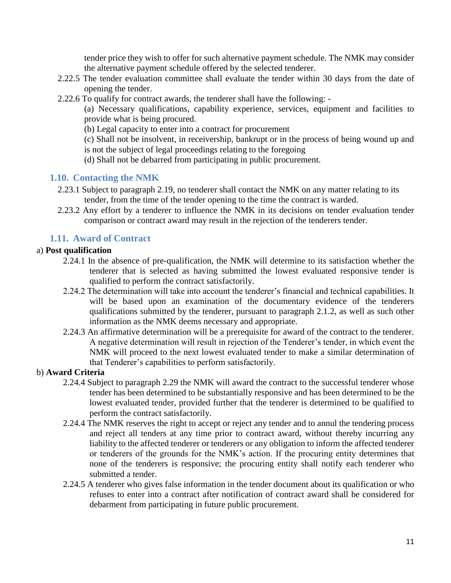tender price they wish to offer for such alternative payment schedule. The NMK may consider the alternative payment schedule offered by the selected tenderer.

- 2.22.5 The tender evaluation committee shall evaluate the tender within 30 days from the date of opening the tender.
- 2.22.6 To qualify for contract awards, the tenderer shall have the following: -

(a) Necessary qualifications, capability experience, services, equipment and facilities to provide what is being procured.

(b) Legal capacity to enter into a contract for procurement

(c) Shall not be insolvent, in receivership, bankrupt or in the process of being wound up and is not the subject of legal proceedings relating to the foregoing

(d) Shall not be debarred from participating in public procurement.

#### **1.10. Contacting the NMK**

- 2.23.1 Subject to paragraph 2.19, no tenderer shall contact the NMK on any matter relating to its tender, from the time of the tender opening to the time the contract is warded.
- 2.23.2 Any effort by a tenderer to influence the NMK in its decisions on tender evaluation tender comparison or contract award may result in the rejection of the tenderers tender.

# **1.11. Award of Contract**

#### a) **Post qualification**

- 2.24.1 In the absence of pre-qualification, the NMK will determine to its satisfaction whether the tenderer that is selected as having submitted the lowest evaluated responsive tender is qualified to perform the contract satisfactorily.
- 2.24.2 The determination will take into account the tenderer's financial and technical capabilities. It will be based upon an examination of the documentary evidence of the tenderers qualifications submitted by the tenderer, pursuant to paragraph 2.1.2, as well as such other information as the NMK deems necessary and appropriate.
- 2.24.3 An affirmative determination will be a prerequisite for award of the contract to the tenderer. A negative determination will result in rejection of the Tenderer's tender, in which event the NMK will proceed to the next lowest evaluated tender to make a similar determination of that Tenderer's capabilities to perform satisfactorily.

#### b) **Award Criteria**

- 2.24.4 Subject to paragraph 2.29 the NMK will award the contract to the successful tenderer whose tender has been determined to be substantially responsive and has been determined to be the lowest evaluated tender, provided further that the tenderer is determined to be qualified to perform the contract satisfactorily.
- 2.24.4 The NMK reserves the right to accept or reject any tender and to annul the tendering process and reject all tenders at any time prior to contract award, without thereby incurring any liability to the affected tenderer or tenderers or any obligation to inform the affected tenderer or tenderers of the grounds for the NMK's action. If the procuring entity determines that none of the tenderers is responsive; the procuring entity shall notify each tenderer who submitted a tender.
- 2.24.5 A tenderer who gives false information in the tender document about its qualification or who refuses to enter into a contract after notification of contract award shall be considered for debarment from participating in future public procurement.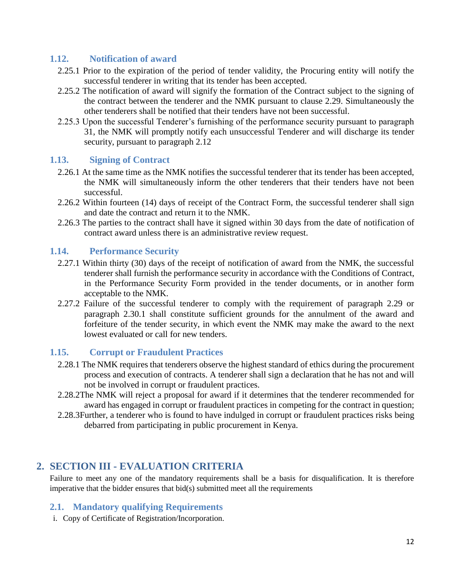## **1.12. Notification of award**

- 2.25.1 Prior to the expiration of the period of tender validity, the Procuring entity will notify the successful tenderer in writing that its tender has been accepted.
- 2.25.2 The notification of award will signify the formation of the Contract subject to the signing of the contract between the tenderer and the NMK pursuant to clause 2.29. Simultaneously the other tenderers shall be notified that their tenders have not been successful.
- 2.25.3 Upon the successful Tenderer's furnishing of the performance security pursuant to paragraph 31, the NMK will promptly notify each unsuccessful Tenderer and will discharge its tender security, pursuant to paragraph 2.12

#### **1.13. Signing of Contract**

- 2.26.1 At the same time as the NMK notifies the successful tenderer that its tender has been accepted, the NMK will simultaneously inform the other tenderers that their tenders have not been successful.
- 2.26.2 Within fourteen (14) days of receipt of the Contract Form, the successful tenderer shall sign and date the contract and return it to the NMK.
- 2.26.3 The parties to the contract shall have it signed within 30 days from the date of notification of contract award unless there is an administrative review request.

#### **1.14. Performance Security**

- 2.27.1 Within thirty (30) days of the receipt of notification of award from the NMK, the successful tenderer shall furnish the performance security in accordance with the Conditions of Contract, in the Performance Security Form provided in the tender documents, or in another form acceptable to the NMK.
- 2.27.2 Failure of the successful tenderer to comply with the requirement of paragraph 2.29 or paragraph 2.30.1 shall constitute sufficient grounds for the annulment of the award and forfeiture of the tender security, in which event the NMK may make the award to the next lowest evaluated or call for new tenders.

#### **1.15. Corrupt or Fraudulent Practices**

- 2.28.1 The NMK requires that tenderers observe the highest standard of ethics during the procurement process and execution of contracts. A tenderer shall sign a declaration that he has not and will not be involved in corrupt or fraudulent practices.
- 2.28.2The NMK will reject a proposal for award if it determines that the tenderer recommended for award has engaged in corrupt or fraudulent practices in competing for the contract in question;
- 2.28.3Further, a tenderer who is found to have indulged in corrupt or fraudulent practices risks being debarred from participating in public procurement in Kenya.

# **2. SECTION III - EVALUATION CRITERIA**

Failure to meet any one of the mandatory requirements shall be a basis for disqualification. It is therefore imperative that the bidder ensures that bid(s) submitted meet all the requirements

# **2.1. Mandatory qualifying Requirements**

i. Copy of Certificate of Registration/Incorporation.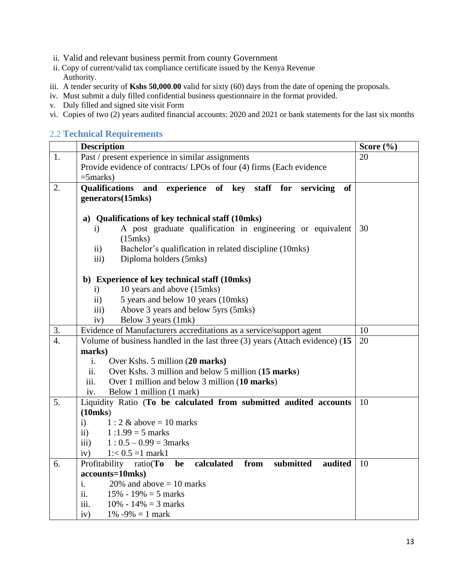- ii. Valid and relevant business permit from county Government
- ii. Copy of current/valid tax compliance certificate issued by the Kenya Revenue Authority.
- iii. A tender security of **Kshs 50,000**.**00** valid for sixty (60) days from the date of opening the proposals.
- iv. Must submit a duly filled confidential business questionnaire in the format provided.
- v. Duly filled and signed site visit Form
- vi. Copies of two (2) years audited financial accounts: 2020 and 2021 or bank statements for the last six months

#### 2.2 **Technical Requirements**

|                        | <b>Description</b>                                                                     |    |  |  |  |  |  |  |
|------------------------|----------------------------------------------------------------------------------------|----|--|--|--|--|--|--|
| 1.                     | Past / present experience in similar assignments                                       | 20 |  |  |  |  |  |  |
|                        | Provide evidence of contracts/ LPOs of four (4) firms (Each evidence                   |    |  |  |  |  |  |  |
|                        | $=5$ marks)                                                                            |    |  |  |  |  |  |  |
| 2.                     | <b>Qualifications</b> and<br>experience of key staff for servicing<br><b>of</b>        |    |  |  |  |  |  |  |
|                        | generators(15mks)                                                                      |    |  |  |  |  |  |  |
|                        |                                                                                        |    |  |  |  |  |  |  |
|                        | a) Qualifications of key technical staff (10mks)                                       |    |  |  |  |  |  |  |
|                        | A post graduate qualification in engineering or equivalent<br>i)<br>$(15$ mks $)$      | 30 |  |  |  |  |  |  |
|                        | Bachelor's qualification in related discipline (10mks)<br>$\rm ii)$                    |    |  |  |  |  |  |  |
|                        | Diploma holders (5mks)<br>$\overline{iii}$                                             |    |  |  |  |  |  |  |
|                        |                                                                                        |    |  |  |  |  |  |  |
|                        | b) Experience of key technical staff (10mks)                                           |    |  |  |  |  |  |  |
|                        | 10 years and above (15mks)<br>i)                                                       |    |  |  |  |  |  |  |
|                        | 5 years and below 10 years (10mks)<br>$\mathbf{ii}$                                    |    |  |  |  |  |  |  |
|                        | Above 3 years and below 5yrs (5mks)<br>$\overline{iii}$                                |    |  |  |  |  |  |  |
|                        | Below 3 years (1mk)<br>iv)                                                             |    |  |  |  |  |  |  |
| 3.<br>$\overline{4}$ . | Evidence of Manufacturers accreditations as a service/support agent                    | 10 |  |  |  |  |  |  |
|                        | Volume of business handled in the last three (3) years (Attach evidence) (15<br>marks) | 20 |  |  |  |  |  |  |
|                        | i.<br>Over Kshs. 5 million (20 marks)                                                  |    |  |  |  |  |  |  |
|                        | ii.<br>Over Kshs. 3 million and below 5 million (15 marks)                             |    |  |  |  |  |  |  |
|                        | Over 1 million and below 3 million (10 marks)<br>iii.                                  |    |  |  |  |  |  |  |
|                        | Below 1 million (1 mark)<br>iv.                                                        |    |  |  |  |  |  |  |
| 5.                     | Liquidity Ratio (To be calculated from submitted audited accounts                      | 10 |  |  |  |  |  |  |
|                        | $(10$ mks $)$                                                                          |    |  |  |  |  |  |  |
|                        | i)<br>$1:2 \&$ above = 10 marks                                                        |    |  |  |  |  |  |  |
|                        | $\mathbf{ii}$<br>$1:1.99 = 5$ marks                                                    |    |  |  |  |  |  |  |
|                        | $1: 0.5 - 0.99 = 3$ marks<br>$\overline{\text{iii}}$                                   |    |  |  |  |  |  |  |
|                        | $1: < 0.5 = 1$ mark1<br>iv)                                                            |    |  |  |  |  |  |  |
| 6.                     | Profitability ratio(To<br>calculated<br>from<br>submitted<br>audited<br>be             | 10 |  |  |  |  |  |  |
|                        | accounts=10mks)                                                                        |    |  |  |  |  |  |  |
|                        | i.<br>20% and above $= 10$ marks                                                       |    |  |  |  |  |  |  |
|                        | $\ddot{\mathbf{i}}$ .<br>15% - 19% = 5 marks                                           |    |  |  |  |  |  |  |
|                        | iii.<br>10\% - 14\% = 3 marks                                                          |    |  |  |  |  |  |  |
|                        | 1% $-9\% = 1$ mark<br>iv)                                                              |    |  |  |  |  |  |  |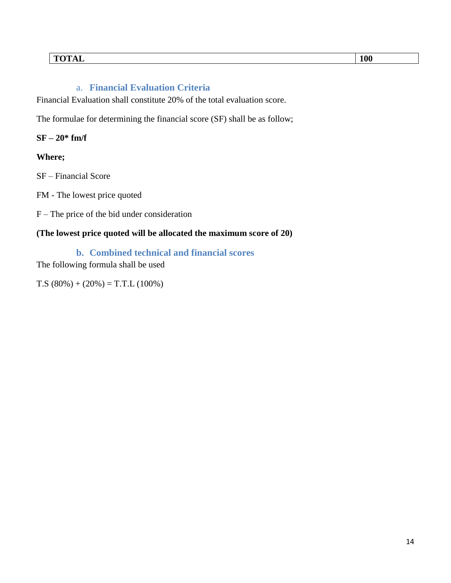#### a. **Financial Evaluation Criteria**

Financial Evaluation shall constitute 20% of the total evaluation score.

The formulae for determining the financial score (SF) shall be as follow;

**SF – 20\* fm/f** 

#### **Where;**

SF – Financial Score

FM - The lowest price quoted

F – The price of the bid under consideration

#### **(The lowest price quoted will be allocated the maximum score of 20)**

**b. Combined technical and financial scores**

The following formula shall be used

 $T.S (80\%) + (20\%) = T.T.L (100\%)$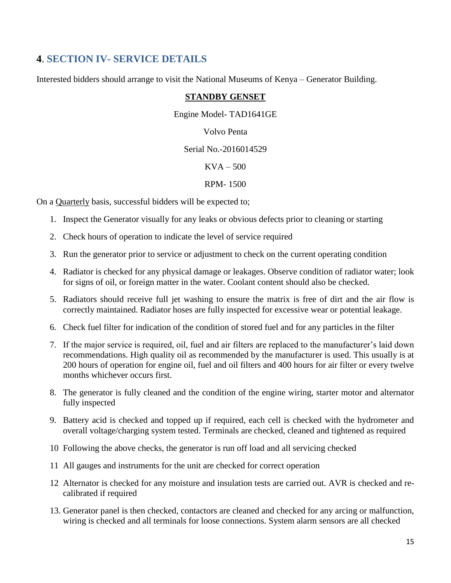# **4**. **SECTION IV- SERVICE DETAILS**

Interested bidders should arrange to visit the National Museums of Kenya – Generator Building.

#### **STANDBY GENSET**

Engine Model- TAD1641GE

Volvo Penta

#### Serial No.-2016014529

#### $KVA - 500$

#### RPM- 1500

On a Quarterly basis, successful bidders will be expected to;

- 1. Inspect the Generator visually for any leaks or obvious defects prior to cleaning or starting
- 2. Check hours of operation to indicate the level of service required
- 3. Run the generator prior to service or adjustment to check on the current operating condition
- 4. Radiator is checked for any physical damage or leakages. Observe condition of radiator water; look for signs of oil, or foreign matter in the water. Coolant content should also be checked.
- 5. Radiators should receive full jet washing to ensure the matrix is free of dirt and the air flow is correctly maintained. Radiator hoses are fully inspected for excessive wear or potential leakage.
- 6. Check fuel filter for indication of the condition of stored fuel and for any particles in the filter
- 7. If the major service is required, oil, fuel and air filters are replaced to the manufacturer's laid down recommendations. High quality oil as recommended by the manufacturer is used. This usually is at 200 hours of operation for engine oil, fuel and oil filters and 400 hours for air filter or every twelve months whichever occurs first.
- 8. The generator is fully cleaned and the condition of the engine wiring, starter motor and alternator fully inspected
- 9. Battery acid is checked and topped up if required, each cell is checked with the hydrometer and overall voltage/charging system tested. Terminals are checked, cleaned and tightened as required
- 10 Following the above checks, the generator is run off load and all servicing checked
- 11 All gauges and instruments for the unit are checked for correct operation
- 12 Alternator is checked for any moisture and insulation tests are carried out. AVR is checked and recalibrated if required
- 13. Generator panel is then checked, contactors are cleaned and checked for any arcing or malfunction, wiring is checked and all terminals for loose connections. System alarm sensors are all checked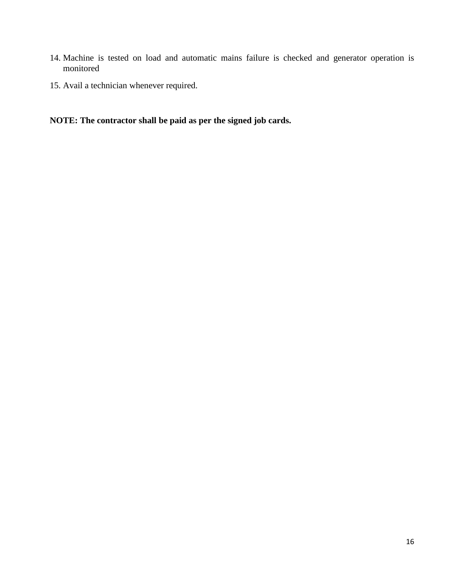- 14. Machine is tested on load and automatic mains failure is checked and generator operation is monitored
- 15. Avail a technician whenever required.

# **NOTE: The contractor shall be paid as per the signed job cards.**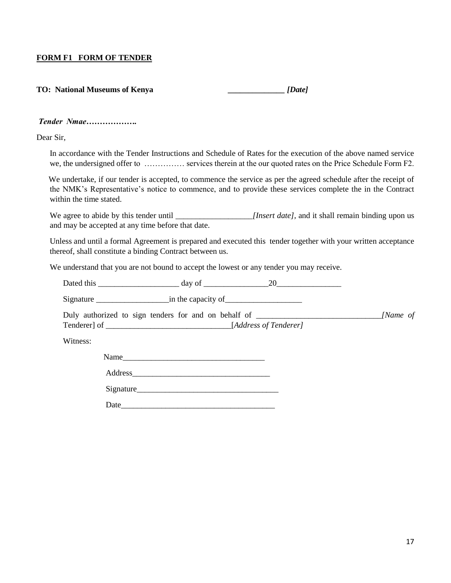#### **FORM F1 FORM OF TENDER**

| <b>TO: National Museums of Kenya</b> | [Date] |
|--------------------------------------|--------|
|                                      |        |

#### *Tender Nmae……………….*

Dear Sir,

In accordance with the Tender Instructions and Schedule of Rates for the execution of the above named service we, the undersigned offer to …………… services therein at the our quoted rates on the Price Schedule Form F2.

 We undertake, if our tender is accepted, to commence the service as per the agreed schedule after the receipt of the NMK's Representative's notice to commence, and to provide these services complete the in the Contract within the time stated.

We agree to abide by this tender until *[Insert date]*, and it shall remain binding upon us and may be accepted at any time before that date.

Unless and until a formal Agreement is prepared and executed this tender together with your written acceptance thereof, shall constitute a binding Contract between us.

We understand that you are not bound to accept the lowest or any tender you may receive.

Dated this \_\_\_\_\_\_\_\_\_\_\_\_\_\_\_\_\_\_\_\_ day of \_\_\_\_\_\_\_\_\_\_\_\_\_\_\_\_20\_\_\_\_\_\_\_\_\_\_\_\_\_\_\_\_

Signature \_\_\_\_\_\_\_\_\_\_\_\_\_\_\_\_\_\_in the capacity of\_\_\_\_\_\_\_\_\_\_\_\_\_\_\_\_\_\_\_

Duly authorized to sign tenders for and on behalf of *\_\_\_\_\_\_\_\_\_\_\_\_\_\_\_\_\_\_\_\_\_\_\_\_\_\_\_\_\_\_\_[Name of* Tenderer] of *\_\_\_\_\_\_\_*\_\_\_\_\_\_\_\_\_\_\_\_\_\_\_\_\_\_\_\_\_\_\_\_[*Address of Tenderer]*

Witness:

| Name      |  |
|-----------|--|
| Address   |  |
| Signature |  |
|           |  |

Date\_\_\_\_\_\_\_\_\_\_\_\_\_\_\_\_\_\_\_\_\_\_\_\_\_\_\_\_\_\_\_\_\_\_\_\_\_\_

17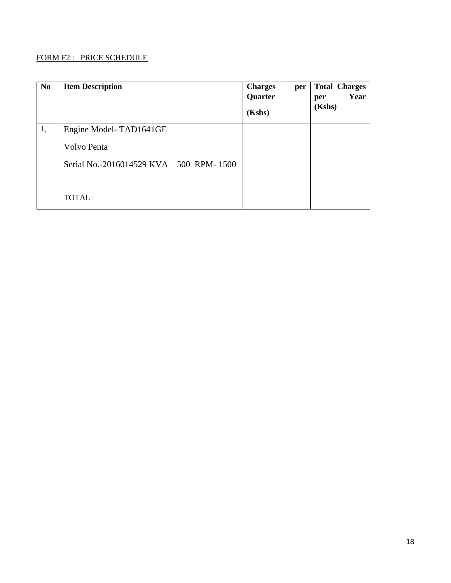#### FORM F2 : PRICE SCHEDULE

| N <sub>0</sub> | <b>Item Description</b>                   | <b>Charges</b><br>per<br>Quarter<br>(Kshs) | <b>Total Charges</b><br>Year<br>per<br>(Kshs) |
|----------------|-------------------------------------------|--------------------------------------------|-----------------------------------------------|
| 1,             | Engine Model-TAD1641GE                    |                                            |                                               |
|                | Volvo Penta                               |                                            |                                               |
|                | Serial No.-2016014529 KVA – 500 RPM- 1500 |                                            |                                               |
|                | <b>TOTAL</b>                              |                                            |                                               |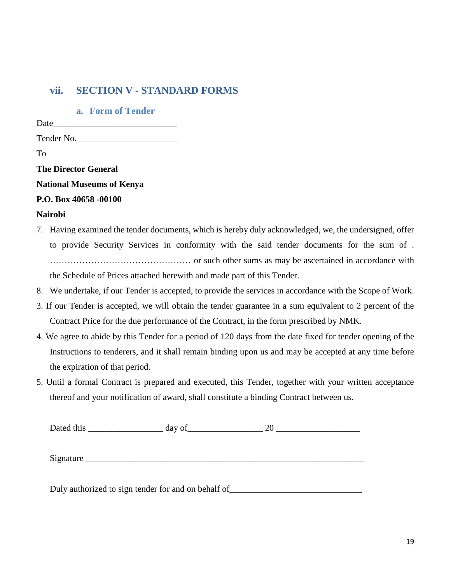# **vii. SECTION V - STANDARD FORMS**

**a. Form of Tender**

Date and the set of  $\sim$ 

Tender No.\_\_\_\_\_\_\_\_\_\_\_\_\_\_\_\_\_\_\_\_\_\_\_

To

**The Director General**

**National Museums of Kenya**

#### **P.O. Box 40658 -00100**

#### **Nairobi**

- 7. Having examined the tender documents, which is hereby duly acknowledged, we, the undersigned, offer to provide Security Services in conformity with the said tender documents for the sum of . ………………………………………… or such other sums as may be ascertained in accordance with the Schedule of Prices attached herewith and made part of this Tender.
- 8. We undertake, if our Tender is accepted, to provide the services in accordance with the Scope of Work.
- 3. If our Tender is accepted, we will obtain the tender guarantee in a sum equivalent to 2 percent of the Contract Price for the due performance of the Contract, in the form prescribed by NMK.
- 4. We agree to abide by this Tender for a period of 120 days from the date fixed for tender opening of the Instructions to tenderers, and it shall remain binding upon us and may be accepted at any time before the expiration of that period.
- 5. Until a formal Contract is prepared and executed, this Tender, together with your written acceptance thereof and your notification of award, shall constitute a binding Contract between us.

| Dated this | day of | 20 |
|------------|--------|----|
|            |        |    |
| Signature  |        |    |
|            |        |    |
|            |        |    |

Duly authorized to sign tender for and on behalf of\_\_\_\_\_\_\_\_\_\_\_\_\_\_\_\_\_\_\_\_\_\_\_\_\_\_\_\_\_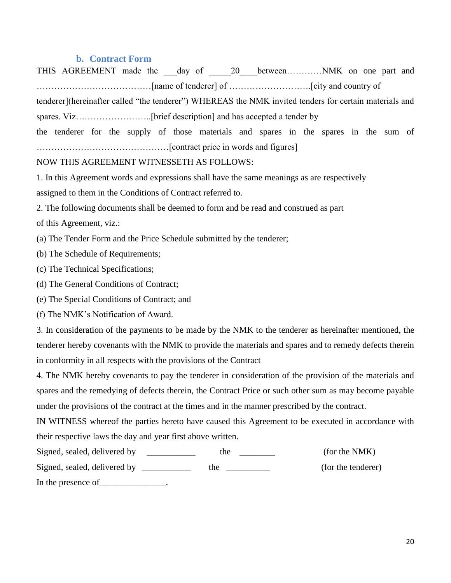#### **b. Contract Form**

|  |  |  | THIS AGREEMENT made the __day of ____20___betweenNMK on one part and                                   |  |  |  |  |  |
|--|--|--|--------------------------------------------------------------------------------------------------------|--|--|--|--|--|
|  |  |  |                                                                                                        |  |  |  |  |  |
|  |  |  | tenderer](hereinafter called "the tenderer") WHEREAS the NMK invited tenders for certain materials and |  |  |  |  |  |
|  |  |  |                                                                                                        |  |  |  |  |  |
|  |  |  | the tenderer for the supply of those materials and spares in the spares in the sum of                  |  |  |  |  |  |
|  |  |  |                                                                                                        |  |  |  |  |  |

#### NOW THIS AGREEMENT WITNESSETH AS FOLLOWS:

1. In this Agreement words and expressions shall have the same meanings as are respectively

assigned to them in the Conditions of Contract referred to.

2. The following documents shall be deemed to form and be read and construed as part

of this Agreement, viz.:

(a) The Tender Form and the Price Schedule submitted by the tenderer;

(b) The Schedule of Requirements;

(c) The Technical Specifications;

(d) The General Conditions of Contract;

(e) The Special Conditions of Contract; and

(f) The NMK's Notification of Award.

3. In consideration of the payments to be made by the NMK to the tenderer as hereinafter mentioned, the tenderer hereby covenants with the NMK to provide the materials and spares and to remedy defects therein in conformity in all respects with the provisions of the Contract

4. The NMK hereby covenants to pay the tenderer in consideration of the provision of the materials and spares and the remedying of defects therein, the Contract Price or such other sum as may become payable under the provisions of the contract at the times and in the manner prescribed by the contract.

IN WITNESS whereof the parties hereto have caused this Agreement to be executed in accordance with their respective laws the day and year first above written.

| Signed, sealed, delivered by | the | (for the NMK)      |
|------------------------------|-----|--------------------|
| Signed, sealed, delivered by | the | (for the tenderer) |
| In the presence of           |     |                    |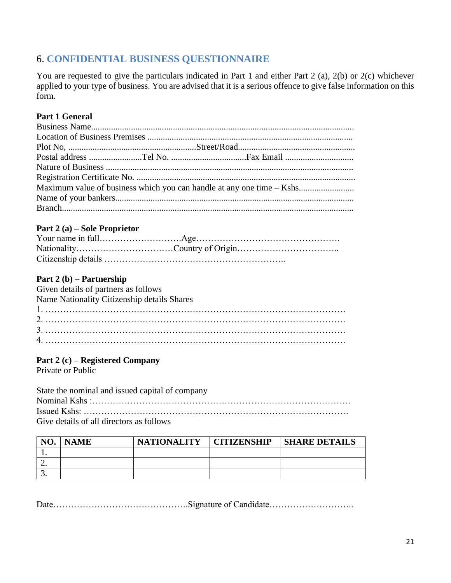# 6. **CONFIDENTIAL BUSINESS QUESTIONNAIRE**

You are requested to give the particulars indicated in Part 1 and either Part 2 (a), 2(b) or 2(c) whichever applied to your type of business. You are advised that it is a serious offence to give false information on this form.

### **Part 1 General**

|  | Maximum value of business which you can handle at any one time – Kshs |  |
|--|-----------------------------------------------------------------------|--|
|  |                                                                       |  |
|  |                                                                       |  |
|  |                                                                       |  |

#### **Part 2 (a) – Sole Proprietor**

# **Part 2 (b) – Partnership**

| Given details of partners as follows        |
|---------------------------------------------|
| Name Nationality Citizenship details Shares |
|                                             |
|                                             |
|                                             |
|                                             |

# **Part 2 (c) – Registered Company**

Private or Public

State the nominal and issued capital of company Nominal Kshs :……………………………………………………………………………. Issued Kshs: ……………………………………………………………………………… Give details of all directors as follows

| NO.      | <b>NAME</b> | <b>NATIONALITY</b> | <b>CITIZENSHIP</b> | <b>SHARE DETAILS</b> |
|----------|-------------|--------------------|--------------------|----------------------|
|          |             |                    |                    |                      |
| <u>.</u> |             |                    |                    |                      |
|          |             |                    |                    |                      |

Date……………………………………………………Signature of Candidate…………………………………………………………………………………………